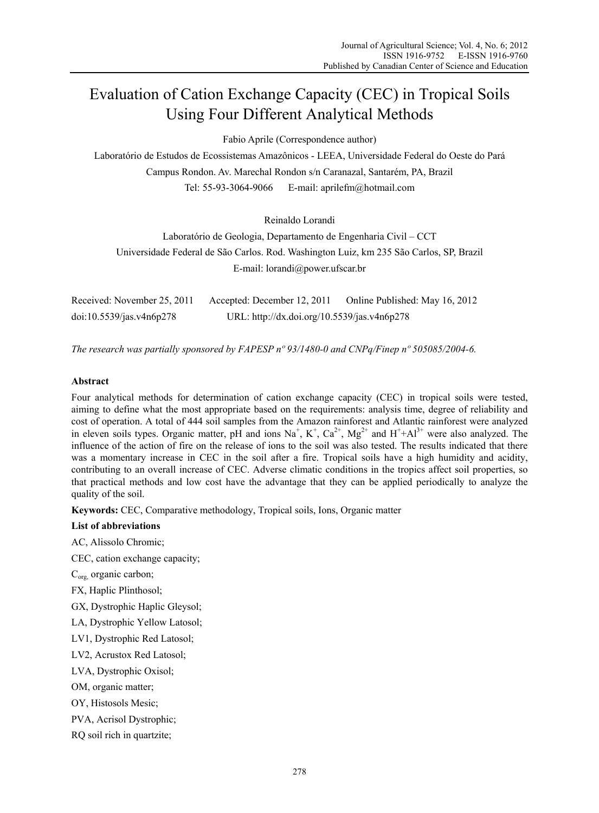# Evaluation of Cation Exchange Capacity (CEC) in Tropical Soils Using Four Different Analytical Methods

Fabio Aprile (Correspondence author)

Laboratório de Estudos de Ecossistemas Amazônicos - LEEA, Universidade Federal do Oeste do Pará Campus Rondon. Av. Marechal Rondon s/n Caranazal, Santarém, PA, Brazil Tel: 55-93-3064-9066 E-mail: aprilefm@hotmail.com

# Reinaldo Lorandi

Laboratório de Geologia, Departamento de Engenharia Civil – CCT Universidade Federal de São Carlos. Rod. Washington Luiz, km 235 São Carlos, SP, Brazil E-mail: lorandi@power.ufscar.br

| Received: November 25, 2011 | Accepted: December 12, 2011                 | Online Published: May 16, 2012 |  |  |  |  |
|-----------------------------|---------------------------------------------|--------------------------------|--|--|--|--|
| doi:10.5539/jas.v4n6p278    | URL: http://dx.doi.org/10.5539/jas.v4n6p278 |                                |  |  |  |  |

*The research was partially sponsored by FAPESP nº 93/1480-0 and CNPq/Finep nº 505085/2004-6.* 

## **Abstract**

Four analytical methods for determination of cation exchange capacity (CEC) in tropical soils were tested, aiming to define what the most appropriate based on the requirements: analysis time, degree of reliability and cost of operation. A total of 444 soil samples from the Amazon rainforest and Atlantic rainforest were analyzed in eleven soils types. Organic matter, pH and ions  $Na^+$ ,  $K^+$ ,  $Ca^{2+}$ ,  $Mg^{2+}$  and  $H^+ + Al^{3+}$  were also analyzed. The influence of the action of fire on the release of ions to the soil was also tested. The results indicated that there was a momentary increase in CEC in the soil after a fire. Tropical soils have a high humidity and acidity, contributing to an overall increase of CEC. Adverse climatic conditions in the tropics affect soil properties, so that practical methods and low cost have the advantage that they can be applied periodically to analyze the quality of the soil.

**Keywords:** CEC, Comparative methodology, Tropical soils, Ions, Organic matter

# **List of abbreviations**

AC, Alissolo Chromic;

CEC, cation exchange capacity;

C<sub>org</sub> organic carbon;

FX, Haplic Plinthosol;

GX, Dystrophic Haplic Gleysol;

LA, Dystrophic Yellow Latosol;

LV1, Dystrophic Red Latosol;

LV2, Acrustox Red Latosol;

LVA, Dystrophic Oxisol;

OM, organic matter;

OY, Histosols Mesic;

PVA, Acrisol Dystrophic;

RQ soil rich in quartzite;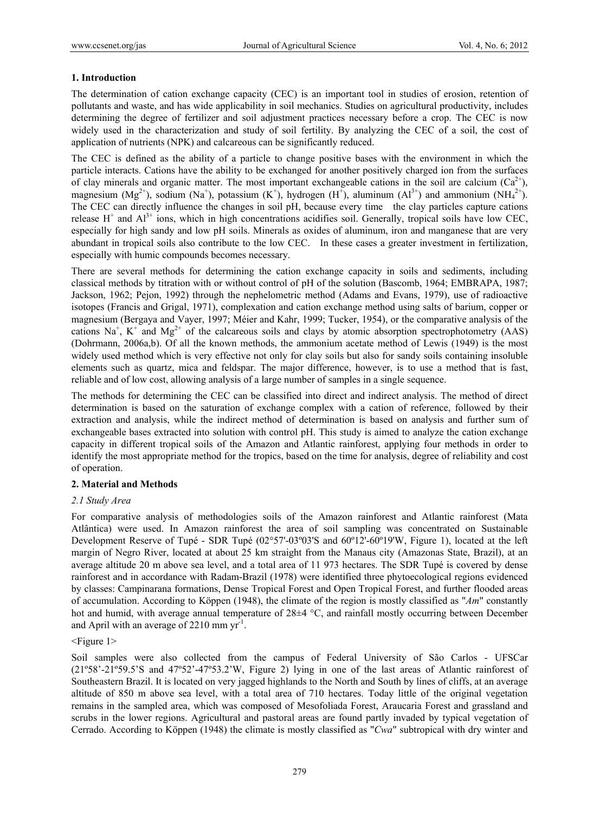# **1. Introduction**

The determination of cation exchange capacity (CEC) is an important tool in studies of erosion, retention of pollutants and waste, and has wide applicability in soil mechanics. Studies on agricultural productivity, includes determining the degree of fertilizer and soil adjustment practices necessary before a crop. The CEC is now widely used in the characterization and study of soil fertility. By analyzing the CEC of a soil, the cost of application of nutrients (NPK) and calcareous can be significantly reduced.

The CEC is defined as the ability of a particle to change positive bases with the environment in which the particle interacts. Cations have the ability to be exchanged for another positively charged ion from the surfaces of clay minerals and organic matter. The most important exchangeable cations in the soil are calcium  $(Ca^{2+})$ , magnesium (Mg<sup>2+</sup>), sodium (Na<sup>+</sup>), potassium (K<sup>+</sup>), hydrogen (H<sup>+</sup>), aluminum (Al<sup>3+</sup>) and ammonium (NH<sub>4</sub><sup>2+</sup>). The CEC can directly influence the changes in soil pH, because every time the clay particles capture cations release  $H^+$  and  $Al^{3+}$  ions, which in high concentrations acidifies soil. Generally, tropical soils have low CEC, especially for high sandy and low pH soils. Minerals as oxides of aluminum, iron and manganese that are very abundant in tropical soils also contribute to the low CEC. In these cases a greater investment in fertilization, especially with humic compounds becomes necessary.

There are several methods for determining the cation exchange capacity in soils and sediments, including classical methods by titration with or without control of pH of the solution (Bascomb, 1964; EMBRAPA, 1987; Jackson, 1962; Pejon, 1992) through the nephelometric method (Adams and Evans, 1979), use of radioactive isotopes (Francis and Grigal, 1971), complexation and cation exchange method using salts of barium, copper or magnesium (Bergaya and Vayer, 1997; Méier and Kahr, 1999; Tucker, 1954), or the comparative analysis of the cations Na<sup>+</sup>, K<sup>+</sup> and Mg<sup>2+</sup> of the calcareous soils and clays by atomic absorption spectrophotometry (AAS) (Dohrmann, 2006a,b). Of all the known methods, the ammonium acetate method of Lewis (1949) is the most widely used method which is very effective not only for clay soils but also for sandy soils containing insoluble elements such as quartz, mica and feldspar. The major difference, however, is to use a method that is fast, reliable and of low cost, allowing analysis of a large number of samples in a single sequence.

The methods for determining the CEC can be classified into direct and indirect analysis. The method of direct determination is based on the saturation of exchange complex with a cation of reference, followed by their extraction and analysis, while the indirect method of determination is based on analysis and further sum of exchangeable bases extracted into solution with control pH. This study is aimed to analyze the cation exchange capacity in different tropical soils of the Amazon and Atlantic rainforest, applying four methods in order to identify the most appropriate method for the tropics, based on the time for analysis, degree of reliability and cost of operation.

## **2. Material and Methods**

## *2.1 Study Area*

For comparative analysis of methodologies soils of the Amazon rainforest and Atlantic rainforest (Mata Atlântica) were used. In Amazon rainforest the area of soil sampling was concentrated on Sustainable Development Reserve of Tupé - SDR Tupé (02°57'-03º03'S and 60º12'-60º19'W, Figure 1), located at the left margin of Negro River, located at about 25 km straight from the Manaus city (Amazonas State, Brazil), at an average altitude 20 m above sea level, and a total area of 11 973 hectares. The SDR Tupé is covered by dense rainforest and in accordance with Radam-Brazil (1978) were identified three phytoecological regions evidenced by classes: Campinarana formations, Dense Tropical Forest and Open Tropical Forest, and further flooded areas of accumulation. According to Köppen (1948), the climate of the region is mostly classified as "*Am*" constantly hot and humid, with average annual temperature of 28 $\pm$ 4 °C, and rainfall mostly occurring between December and April with an average of  $2210 \text{ mm yr}^{-1}$ .

<Figure 1>

Soil samples were also collected from the campus of Federal University of São Carlos - UFSCar (21º58'-21º59.5'S and 47º52'-47º53.2'W, Figure 2) lying in one of the last areas of Atlantic rainforest of Southeastern Brazil. It is located on very jagged highlands to the North and South by lines of cliffs, at an average altitude of 850 m above sea level, with a total area of 710 hectares. Today little of the original vegetation remains in the sampled area, which was composed of Mesofoliada Forest, Araucaria Forest and grassland and scrubs in the lower regions. Agricultural and pastoral areas are found partly invaded by typical vegetation of Cerrado. According to Köppen (1948) the climate is mostly classified as "*Cwa*" subtropical with dry winter and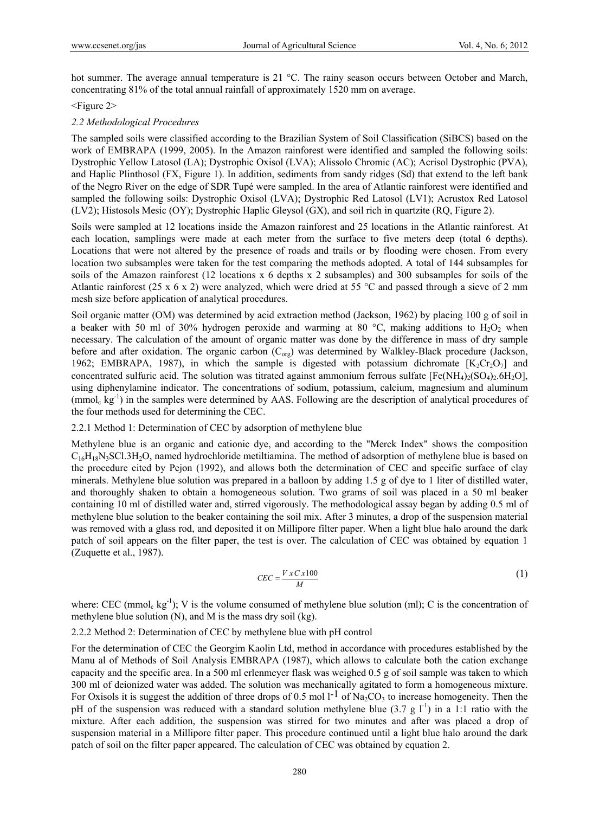hot summer. The average annual temperature is 21 °C. The rainy season occurs between October and March, concentrating 81% of the total annual rainfall of approximately 1520 mm on average.

#### <Figure 2>

## *2.2 Methodological Procedures*

The sampled soils were classified according to the Brazilian System of Soil Classification (SiBCS) based on the work of EMBRAPA (1999, 2005). In the Amazon rainforest were identified and sampled the following soils: Dystrophic Yellow Latosol (LA); Dystrophic Oxisol (LVA); Alissolo Chromic (AC); Acrisol Dystrophic (PVA), and Haplic Plinthosol (FX, Figure 1). In addition, sediments from sandy ridges (Sd) that extend to the left bank of the Negro River on the edge of SDR Tupé were sampled. In the area of Atlantic rainforest were identified and sampled the following soils: Dystrophic Oxisol (LVA); Dystrophic Red Latosol (LV1); Acrustox Red Latosol (LV2); Histosols Mesic (OY); Dystrophic Haplic Gleysol (GX), and soil rich in quartzite (RQ, Figure 2).

Soils were sampled at 12 locations inside the Amazon rainforest and 25 locations in the Atlantic rainforest. At each location, samplings were made at each meter from the surface to five meters deep (total 6 depths). Locations that were not altered by the presence of roads and trails or by flooding were chosen. From every location two subsamples were taken for the test comparing the methods adopted. A total of 144 subsamples for soils of the Amazon rainforest (12 locations x 6 depths x 2 subsamples) and 300 subsamples for soils of the Atlantic rainforest (25 x 6 x 2) were analyzed, which were dried at 55  $\degree$ C and passed through a sieve of 2 mm mesh size before application of analytical procedures.

Soil organic matter (OM) was determined by acid extraction method (Jackson, 1962) by placing 100 g of soil in a beaker with 50 ml of 30% hydrogen peroxide and warming at 80  $^{\circ}$ C, making additions to H<sub>2</sub>O<sub>2</sub> when necessary. The calculation of the amount of organic matter was done by the difference in mass of dry sample before and after oxidation. The organic carbon  $(C_{org})$  was determined by Walkley-Black procedure (Jackson, 1962; EMBRAPA, 1987), in which the sample is digested with potassium dichromate  $[K_2Cr_2O_7]$  and concentrated sulfuric acid. The solution was titrated against ammonium ferrous sulfate  $[Fe(NH_4)_2(SO_4)_2.6H_2O]$ , using diphenylamine indicator. The concentrations of sodium, potassium, calcium, magnesium and aluminum  $\rm{mmol}_c$  kg<sup>-1</sup>) in the samples were determined by AAS. Following are the description of analytical procedures of the four methods used for determining the CEC.

## 2.2.1 Method 1: Determination of CEC by adsorption of methylene blue

Methylene blue is an organic and cationic dye, and according to the "Merck Index" shows the composition  $C_{16}H_{18}N_3SCl.3H_2O$ , named hydrochloride metiltiamina. The method of adsorption of methylene blue is based on the procedure cited by Pejon (1992), and allows both the determination of CEC and specific surface of clay minerals. Methylene blue solution was prepared in a balloon by adding 1.5 g of dye to 1 liter of distilled water, and thoroughly shaken to obtain a homogeneous solution. Two grams of soil was placed in a 50 ml beaker containing 10 ml of distilled water and, stirred vigorously. The methodological assay began by adding 0.5 ml of methylene blue solution to the beaker containing the soil mix. After 3 minutes, a drop of the suspension material was removed with a glass rod, and deposited it on Millipore filter paper. When a light blue halo around the dark patch of soil appears on the filter paper, the test is over. The calculation of CEC was obtained by equation 1 (Zuquette et al., 1987).

$$
CEC = \frac{V \times C \times 100}{M} \tag{1}
$$

where: CEC (mmol<sub>c</sub> kg<sup>-1</sup>); V is the volume consumed of methylene blue solution (ml); C is the concentration of methylene blue solution (N), and M is the mass dry soil (kg).

## 2.2.2 Method 2: Determination of CEC by methylene blue with pH control

For the determination of CEC the Georgim Kaolin Ltd, method in accordance with procedures established by the Manu al of Methods of Soil Analysis EMBRAPA (1987), which allows to calculate both the cation exchange capacity and the specific area. In a 500 ml erlenmeyer flask was weighed 0.5 g of soil sample was taken to which 300 ml of deionized water was added. The solution was mechanically agitated to form a homogeneous mixture. For Oxisols it is suggest the addition of three drops of 0.5 mol  $1^{-1}$  of Na<sub>2</sub>CO<sub>3</sub> to increase homogeneity. Then the pH of the suspension was reduced with a standard solution methylene blue (3.7 g l<sup>-1</sup>) in a 1:1 ratio with the mixture. After each addition, the suspension was stirred for two minutes and after was placed a drop of suspension material in a Millipore filter paper. This procedure continued until a light blue halo around the dark patch of soil on the filter paper appeared. The calculation of CEC was obtained by equation 2.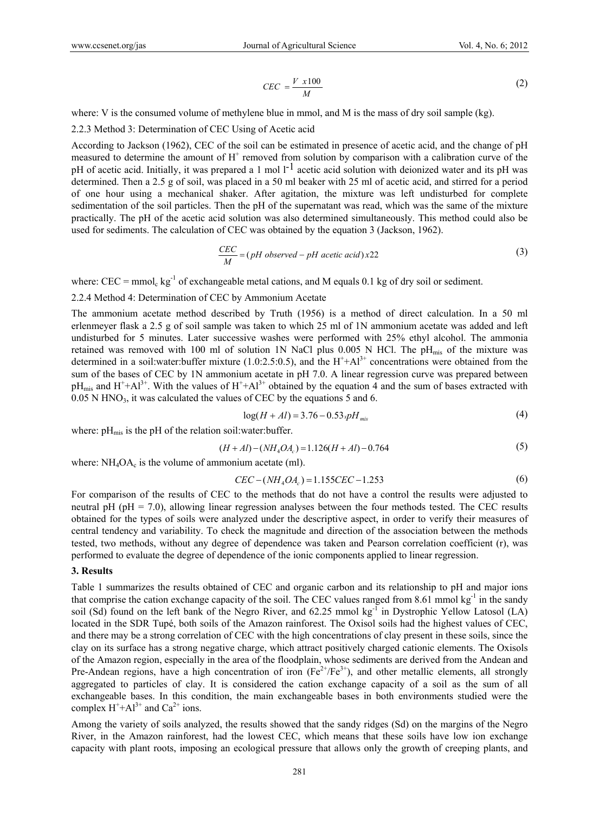$$
CEC = \frac{V \times 100}{M} \tag{2}
$$

where: V is the consumed volume of methylene blue in mmol, and M is the mass of dry soil sample (kg).

2.2.3 Method 3: Determination of CEC Using of Acetic acid

According to Jackson (1962), CEC of the soil can be estimated in presence of acetic acid, and the change of pH measured to determine the amount of  $H^+$  removed from solution by comparison with a calibration curve of the pH of acetic acid. Initially, it was prepared a 1 mol  $1<sup>-1</sup>$  acetic acid solution with deionized water and its pH was determined. Then a 2.5 g of soil, was placed in a 50 ml beaker with 25 ml of acetic acid, and stirred for a period of one hour using a mechanical shaker. After agitation, the mixture was left undisturbed for complete sedimentation of the soil particles. Then the pH of the supernatant was read, which was the same of the mixture practically. The pH of the acetic acid solution was also determined simultaneously. This method could also be used for sediments. The calculation of CEC was obtained by the equation 3 (Jackson, 1962).

$$
\frac{CEC}{M} = (pH \text{ observed} - pH \text{ acetic acid}) \times 22 \tag{3}
$$

where:  $CEC = \text{mmol}_c$  kg<sup>-1</sup> of exchangeable metal cations, and M equals 0.1 kg of dry soil or sediment.

2.2.4 Method 4: Determination of CEC by Ammonium Acetate

The ammonium acetate method described by Truth (1956) is a method of direct calculation. In a 50 ml erlenmeyer flask a 2.5 g of soil sample was taken to which 25 ml of 1N ammonium acetate was added and left undisturbed for 5 minutes. Later successive washes were performed with 25% ethyl alcohol. The ammonia retained was removed with 100 ml of solution 1N NaCl plus 0.005 N HCl. The pH<sub>mis</sub> of the mixture was determined in a soil:water:buffer mixture (1.0:2.5:0.5), and the  $H^+ + Al^{3+}$  concentrations were obtained from the sum of the bases of CEC by 1N ammonium acetate in pH 7.0. A linear regression curve was prepared between pH<sub>mis</sub> and H<sup>+</sup>+Al<sup>3+</sup>. With the values of H<sup>+</sup>+Al<sup>3+</sup> obtained by the equation 4 and the sum of bases extracted with  $0.05$  N HNO<sub>3</sub>, it was calculated the values of CEC by the equations 5 and 6.

$$
log(H + Al) = 3.76 - 0.53upHmis
$$
 (4)

where:  $pH<sub>mis</sub>$  is the pH of the relation soil:water:buffer.

$$
(H + Al) - (NH4OAc) = 1.126(H + Al) - 0.764
$$
\n(5)

where:  $NH_4OA_c$  is the volume of ammonium acetate (ml).

$$
CEC - (NH4OAc) = 1.155CEC - 1.253
$$
 (6)

For comparison of the results of CEC to the methods that do not have a control the results were adjusted to neutral pH (pH = 7.0), allowing linear regression analyses between the four methods tested. The CEC results obtained for the types of soils were analyzed under the descriptive aspect, in order to verify their measures of central tendency and variability. To check the magnitude and direction of the association between the methods tested, two methods, without any degree of dependence was taken and Pearson correlation coefficient (r), was performed to evaluate the degree of dependence of the ionic components applied to linear regression.

#### **3. Results**

Table 1 summarizes the results obtained of CEC and organic carbon and its relationship to pH and major ions that comprise the cation exchange capacity of the soil. The CEC values ranged from 8.61 mmol  $kg<sup>-1</sup>$  in the sandy soil (Sd) found on the left bank of the Negro River, and 62.25 mmol kg<sup>-1</sup> in Dystrophic Yellow Latosol (LA) located in the SDR Tupé, both soils of the Amazon rainforest. The Oxisol soils had the highest values of CEC, and there may be a strong correlation of CEC with the high concentrations of clay present in these soils, since the clay on its surface has a strong negative charge, which attract positively charged cationic elements. The Oxisols of the Amazon region, especially in the area of the floodplain, whose sediments are derived from the Andean and Pre-Andean regions, have a high concentration of iron  $(Fe^{2+}/Fe^{3+})$ , and other metallic elements, all strongly aggregated to particles of clay. It is considered the cation exchange capacity of a soil as the sum of all exchangeable bases. In this condition, the main exchangeable bases in both environments studied were the complex  $H^+ + Al^{3+}$  and  $Ca^{2+}$  ions.

Among the variety of soils analyzed, the results showed that the sandy ridges (Sd) on the margins of the Negro River, in the Amazon rainforest, had the lowest CEC, which means that these soils have low ion exchange capacity with plant roots, imposing an ecological pressure that allows only the growth of creeping plants, and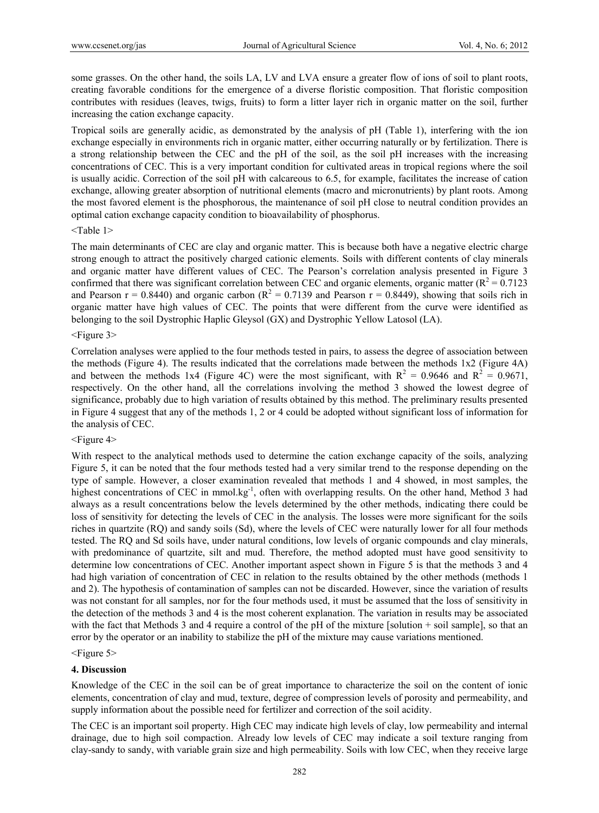some grasses. On the other hand, the soils LA, LV and LVA ensure a greater flow of ions of soil to plant roots, creating favorable conditions for the emergence of a diverse floristic composition. That floristic composition contributes with residues (leaves, twigs, fruits) to form a litter layer rich in organic matter on the soil, further increasing the cation exchange capacity.

Tropical soils are generally acidic, as demonstrated by the analysis of pH (Table 1), interfering with the ion exchange especially in environments rich in organic matter, either occurring naturally or by fertilization. There is a strong relationship between the CEC and the pH of the soil, as the soil pH increases with the increasing concentrations of CEC. This is a very important condition for cultivated areas in tropical regions where the soil is usually acidic. Correction of the soil pH with calcareous to 6.5, for example, facilitates the increase of cation exchange, allowing greater absorption of nutritional elements (macro and micronutrients) by plant roots. Among the most favored element is the phosphorous, the maintenance of soil pH close to neutral condition provides an optimal cation exchange capacity condition to bioavailability of phosphorus.

#### <Table 1>

The main determinants of CEC are clay and organic matter. This is because both have a negative electric charge strong enough to attract the positively charged cationic elements. Soils with different contents of clay minerals and organic matter have different values of CEC. The Pearson's correlation analysis presented in Figure 3 confirmed that there was significant correlation between CEC and organic elements, organic matter ( $R^2 = 0.7123$ ) and Pearson  $r = 0.8440$ ) and organic carbon ( $R^2 = 0.7139$  and Pearson  $r = 0.8449$ ), showing that soils rich in organic matter have high values of CEC. The points that were different from the curve were identified as belonging to the soil Dystrophic Haplic Gleysol (GX) and Dystrophic Yellow Latosol (LA).

#### <Figure 3>

Correlation analyses were applied to the four methods tested in pairs, to assess the degree of association between the methods (Figure 4). The results indicated that the correlations made between the methods 1x2 (Figure 4A) and between the methods 1x4 (Figure 4C) were the most significant, with  $R^2 = 0.9646$  and  $R^2 = 0.9671$ , respectively. On the other hand, all the correlations involving the method 3 showed the lowest degree of significance, probably due to high variation of results obtained by this method. The preliminary results presented in Figure 4 suggest that any of the methods 1, 2 or 4 could be adopted without significant loss of information for the analysis of CEC.

#### <Figure 4>

With respect to the analytical methods used to determine the cation exchange capacity of the soils, analyzing Figure 5, it can be noted that the four methods tested had a very similar trend to the response depending on the type of sample. However, a closer examination revealed that methods 1 and 4 showed, in most samples, the highest concentrations of CEC in mmol.kg<sup>-1</sup>, often with overlapping results. On the other hand, Method 3 had always as a result concentrations below the levels determined by the other methods, indicating there could be loss of sensitivity for detecting the levels of CEC in the analysis. The losses were more significant for the soils riches in quartzite (RQ) and sandy soils (Sd), where the levels of CEC were naturally lower for all four methods tested. The RQ and Sd soils have, under natural conditions, low levels of organic compounds and clay minerals, with predominance of quartzite, silt and mud. Therefore, the method adopted must have good sensitivity to determine low concentrations of CEC. Another important aspect shown in Figure 5 is that the methods 3 and 4 had high variation of concentration of CEC in relation to the results obtained by the other methods (methods 1 and 2). The hypothesis of contamination of samples can not be discarded. However, since the variation of results was not constant for all samples, nor for the four methods used, it must be assumed that the loss of sensitivity in the detection of the methods 3 and 4 is the most coherent explanation. The variation in results may be associated with the fact that Methods 3 and 4 require a control of the pH of the mixture [solution + soil sample], so that an error by the operator or an inability to stabilize the pH of the mixture may cause variations mentioned.

## <Figure 5>

## **4. Discussion**

Knowledge of the CEC in the soil can be of great importance to characterize the soil on the content of ionic elements, concentration of clay and mud, texture, degree of compression levels of porosity and permeability, and supply information about the possible need for fertilizer and correction of the soil acidity.

The CEC is an important soil property. High CEC may indicate high levels of clay, low permeability and internal drainage, due to high soil compaction. Already low levels of CEC may indicate a soil texture ranging from clay-sandy to sandy, with variable grain size and high permeability. Soils with low CEC, when they receive large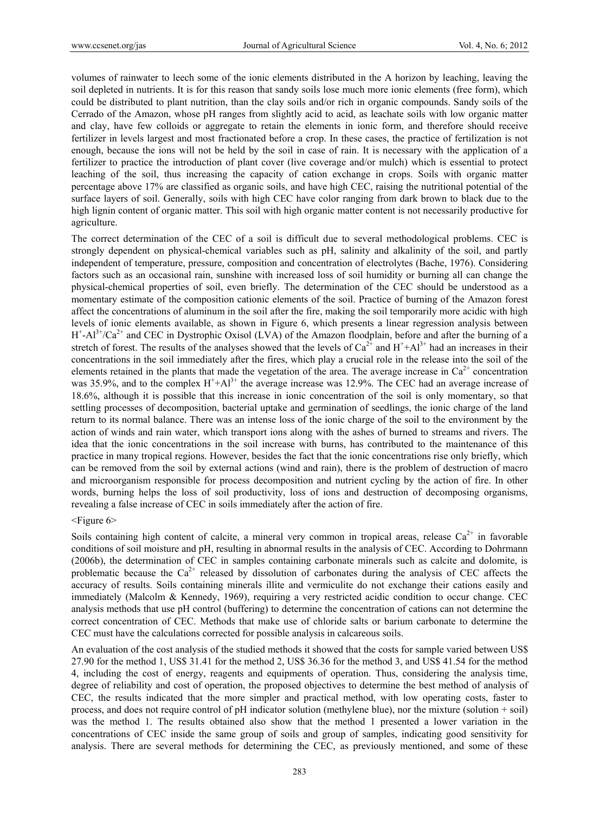volumes of rainwater to leech some of the ionic elements distributed in the A horizon by leaching, leaving the soil depleted in nutrients. It is for this reason that sandy soils lose much more ionic elements (free form), which could be distributed to plant nutrition, than the clay soils and/or rich in organic compounds. Sandy soils of the Cerrado of the Amazon, whose pH ranges from slightly acid to acid, as leachate soils with low organic matter and clay, have few colloids or aggregate to retain the elements in ionic form, and therefore should receive fertilizer in levels largest and most fractionated before a crop. In these cases, the practice of fertilization is not enough, because the ions will not be held by the soil in case of rain. It is necessary with the application of a fertilizer to practice the introduction of plant cover (live coverage and/or mulch) which is essential to protect leaching of the soil, thus increasing the capacity of cation exchange in crops. Soils with organic matter percentage above 17% are classified as organic soils, and have high CEC, raising the nutritional potential of the surface layers of soil. Generally, soils with high CEC have color ranging from dark brown to black due to the high lignin content of organic matter. This soil with high organic matter content is not necessarily productive for agriculture.

The correct determination of the CEC of a soil is difficult due to several methodological problems. CEC is strongly dependent on physical-chemical variables such as pH, salinity and alkalinity of the soil, and partly independent of temperature, pressure, composition and concentration of electrolytes (Bache, 1976). Considering factors such as an occasional rain, sunshine with increased loss of soil humidity or burning all can change the physical-chemical properties of soil, even briefly. The determination of the CEC should be understood as a momentary estimate of the composition cationic elements of the soil. Practice of burning of the Amazon forest affect the concentrations of aluminum in the soil after the fire, making the soil temporarily more acidic with high levels of ionic elements available, as shown in Figure 6, which presents a linear regression analysis between  $H^+$ -Al<sup>3+</sup>/Ca<sup>2+</sup> and CEC in Dystrophic Oxisol (LVA) of the Amazon floodplain, before and after the burning of a stretch of forest. The results of the analyses showed that the levels of  $Ca^{2+}$  and  $H^+ + Al^{3+}$  had an increases in their concentrations in the soil immediately after the fires, which play a crucial role in the release into the soil of the elements retained in the plants that made the vegetation of the area. The average increase in  $Ca^{2+}$  concentration was 35.9%, and to the complex  $H^+ + Al^{3+}$  the average increase was 12.9%. The CEC had an average increase of 18.6%, although it is possible that this increase in ionic concentration of the soil is only momentary, so that settling processes of decomposition, bacterial uptake and germination of seedlings, the ionic charge of the land return to its normal balance. There was an intense loss of the ionic charge of the soil to the environment by the action of winds and rain water, which transport ions along with the ashes of burned to streams and rivers. The idea that the ionic concentrations in the soil increase with burns, has contributed to the maintenance of this practice in many tropical regions. However, besides the fact that the ionic concentrations rise only briefly, which can be removed from the soil by external actions (wind and rain), there is the problem of destruction of macro and microorganism responsible for process decomposition and nutrient cycling by the action of fire. In other words, burning helps the loss of soil productivity, loss of ions and destruction of decomposing organisms, revealing a false increase of CEC in soils immediately after the action of fire.

#### <Figure 6>

Soils containing high content of calcite, a mineral very common in tropical areas, release  $Ca^{2+}$  in favorable conditions of soil moisture and pH, resulting in abnormal results in the analysis of CEC. According to Dohrmann (2006b), the determination of CEC in samples containing carbonate minerals such as calcite and dolomite, is problematic because the  $Ca^{2+}$  released by dissolution of carbonates during the analysis of CEC affects the accuracy of results. Soils containing minerals illite and vermiculite do not exchange their cations easily and immediately (Malcolm & Kennedy, 1969), requiring a very restricted acidic condition to occur change. CEC analysis methods that use pH control (buffering) to determine the concentration of cations can not determine the correct concentration of CEC. Methods that make use of chloride salts or barium carbonate to determine the CEC must have the calculations corrected for possible analysis in calcareous soils.

An evaluation of the cost analysis of the studied methods it showed that the costs for sample varied between US\$ 27.90 for the method 1, US\$ 31.41 for the method 2, US\$ 36.36 for the method 3, and US\$ 41.54 for the method 4, including the cost of energy, reagents and equipments of operation. Thus, considering the analysis time, degree of reliability and cost of operation, the proposed objectives to determine the best method of analysis of CEC, the results indicated that the more simpler and practical method, with low operating costs, faster to process, and does not require control of pH indicator solution (methylene blue), nor the mixture (solution + soil) was the method 1. The results obtained also show that the method 1 presented a lower variation in the concentrations of CEC inside the same group of soils and group of samples, indicating good sensitivity for analysis. There are several methods for determining the CEC, as previously mentioned, and some of these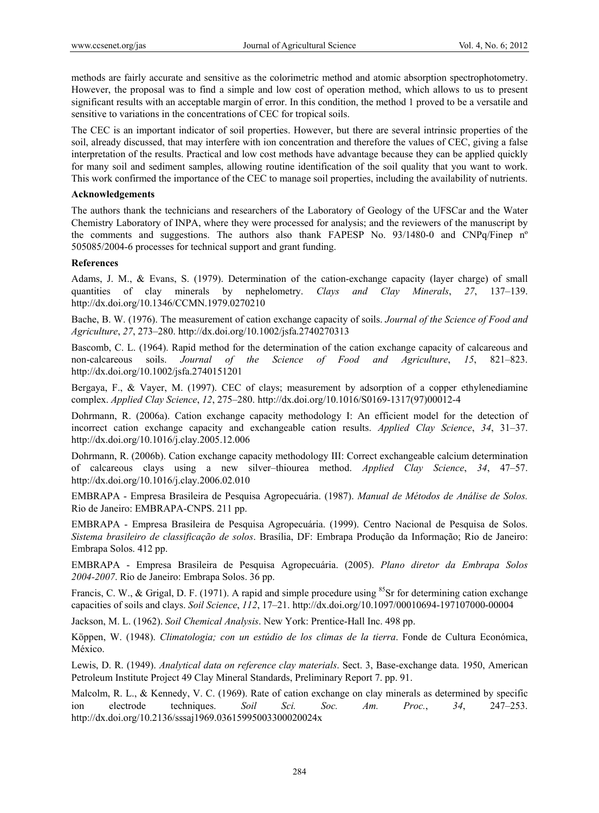methods are fairly accurate and sensitive as the colorimetric method and atomic absorption spectrophotometry. However, the proposal was to find a simple and low cost of operation method, which allows to us to present significant results with an acceptable margin of error. In this condition, the method 1 proved to be a versatile and sensitive to variations in the concentrations of CEC for tropical soils.

The CEC is an important indicator of soil properties. However, but there are several intrinsic properties of the soil, already discussed, that may interfere with ion concentration and therefore the values of CEC, giving a false interpretation of the results. Practical and low cost methods have advantage because they can be applied quickly for many soil and sediment samples, allowing routine identification of the soil quality that you want to work. This work confirmed the importance of the CEC to manage soil properties, including the availability of nutrients.

#### **Acknowledgements**

The authors thank the technicians and researchers of the Laboratory of Geology of the UFSCar and the Water Chemistry Laboratory of INPA, where they were processed for analysis; and the reviewers of the manuscript by the comments and suggestions. The authors also thank FAPESP No. 93/1480-0 and CNPq/Finep nº 505085/2004-6 processes for technical support and grant funding.

## **References**

Adams, J. M., & Evans, S. (1979). Determination of the cation-exchange capacity (layer charge) of small quantities of clay minerals by nephelometry. *Clays and Clay Minerals*, *27*, 137–139. http://dx.doi.org/10.1346/CCMN.1979.0270210

Bache, B. W. (1976). The measurement of cation exchange capacity of soils. *Journal of the Science of Food and Agriculture*, *27*, 273–280. http://dx.doi.org/10.1002/jsfa.2740270313

Bascomb, C. L. (1964). Rapid method for the determination of the cation exchange capacity of calcareous and non-calcareous soils. *Journal of the Science of Food and Agriculture*, *15*, 821–823. http://dx.doi.org/10.1002/jsfa.2740151201

Bergaya, F., & Vayer, M. (1997). CEC of clays; measurement by adsorption of a copper ethylenediamine complex. *Applied Clay Science*, *12*, 275–280. http://dx.doi.org/10.1016/S0169-1317(97)00012-4

Dohrmann, R. (2006a). Cation exchange capacity methodology I: An efficient model for the detection of incorrect cation exchange capacity and exchangeable cation results. *Applied Clay Science*, *34*, 31–37. http://dx.doi.org/10.1016/j.clay.2005.12.006

Dohrmann, R. (2006b). Cation exchange capacity methodology III: Correct exchangeable calcium determination of calcareous clays using a new silver–thiourea method. *Applied Clay Science*, *34*, 47–57. http://dx.doi.org/10.1016/j.clay.2006.02.010

EMBRAPA - Empresa Brasileira de Pesquisa Agropecuária. (1987). *Manual de Métodos de Análise de Solos.* Rio de Janeiro: EMBRAPA-CNPS. 211 pp.

EMBRAPA - Empresa Brasileira de Pesquisa Agropecuária. (1999). Centro Nacional de Pesquisa de Solos. *Sistema brasileiro de classificação de solos*. Brasília, DF: Embrapa Produção da Informação; Rio de Janeiro: Embrapa Solos. 412 pp.

EMBRAPA - Empresa Brasileira de Pesquisa Agropecuária. (2005). *Plano diretor da Embrapa Solos 2004-2007*. Rio de Janeiro: Embrapa Solos. 36 pp.

Francis, C. W., & Grigal, D. F. (1971). A rapid and simple procedure using <sup>85</sup>Sr for determining cation exchange capacities of soils and clays. *Soil Science*, *112*, 17–21. http://dx.doi.org/10.1097/00010694-197107000-00004

Jackson, M. L. (1962). *Soil Chemical Analysis*. New York: Prentice-Hall Inc. 498 pp.

Köppen, W. (1948). *Climatologia; con un estúdio de los climas de la tierra*. Fonde de Cultura Económica, México.

Lewis, D. R. (1949). *Analytical data on reference clay materials*. Sect. 3, Base-exchange data. 1950, American Petroleum Institute Project 49 Clay Mineral Standards, Preliminary Report 7. pp. 91.

Malcolm, R. L., & Kennedy, V. C. (1969). Rate of cation exchange on clay minerals as determined by specific ion electrode techniques. *Soil Sci. Soc. Am. Proc.*, *34*, 247–253. http://dx.doi.org/10.2136/sssaj1969.03615995003300020024x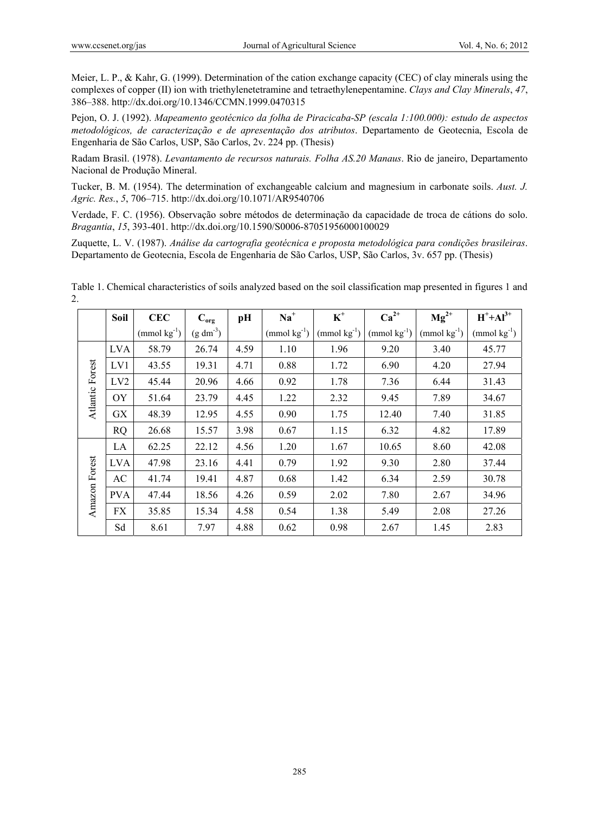Meier, L. P., & Kahr, G. (1999). Determination of the cation exchange capacity (CEC) of clay minerals using the complexes of copper (II) ion with triethylenetetramine and tetraethylenepentamine. *Clays and Clay Minerals*, *47*, 386–388. http://dx.doi.org/10.1346/CCMN.1999.0470315

Pejon, O. J. (1992). *Mapeamento geotécnico da folha de Piracicaba-SP (escala 1:100.000): estudo de aspectos metodológicos, de caracterização e de apresentação dos atributos*. Departamento de Geotecnia, Escola de Engenharia de São Carlos, USP, São Carlos, 2v. 224 pp. (Thesis)

Radam Brasil. (1978). *Levantamento de recursos naturais. Folha AS.20 Manaus*. Rio de janeiro, Departamento Nacional de Produção Mineral.

Tucker, B. M. (1954). The determination of exchangeable calcium and magnesium in carbonate soils. *Aust. J. Agric. Res.*, *5*, 706–715. http://dx.doi.org/10.1071/AR9540706

Verdade, F. C. (1956). Observação sobre métodos de determinação da capacidade de troca de cátions do solo. *Bragantia*, *15*, 393-401. http://dx.doi.org/10.1590/S0006-87051956000100029

Zuquette, L. V. (1987). *Análise da cartografia geotécnica e proposta metodológica para condições brasileiras*. Departamento de Geotecnia, Escola de Engenharia de São Carlos, USP, São Carlos, 3v. 657 pp. (Thesis)

Table 1. Chemical characteristics of soils analyzed based on the soil classification map presented in figures 1 and 2.

|                 | <b>Soil</b>     | <b>CEC</b>    | $C_{org}$  | pH   | $Na+$            | $K^+$            | $Ca2+$           | $Mg^{2+}$     | $H^+ + Al^{3+}$ |
|-----------------|-----------------|---------------|------------|------|------------------|------------------|------------------|---------------|-----------------|
|                 |                 | $(mmol kg-1)$ | $(g dm-3)$ |      | $\pmod{kg^{-1}}$ | $\pmod{kg^{-1}}$ | $\pmod{kg^{-1}}$ | $(mmol kg-1)$ | $(mmol kg-1)$   |
| Atlantic Forest | <b>LVA</b>      | 58.79         | 26.74      | 4.59 | 1.10             | 1.96             | 9.20             | 3.40          | 45.77           |
|                 | LV1             | 43.55         | 19.31      | 4.71 | 0.88             | 1.72             | 6.90             | 4.20          | 27.94           |
|                 | LV <sub>2</sub> | 45.44         | 20.96      | 4.66 | 0.92             | 1.78             | 7.36             | 6.44          | 31.43           |
|                 | OY              | 51.64         | 23.79      | 4.45 | 1.22             | 2.32             | 9.45             | 7.89          | 34.67           |
|                 | GX              | 48.39         | 12.95      | 4.55 | 0.90             | 1.75             | 12.40            | 7.40          | 31.85           |
|                 | <b>RQ</b>       | 26.68         | 15.57      | 3.98 | 0.67             | 1.15             | 6.32             | 4.82          | 17.89           |
| Amazon Forest   | LA              | 62.25         | 22.12      | 4.56 | 1.20             | 1.67             | 10.65            | 8.60          | 42.08           |
|                 | LVA             | 47.98         | 23.16      | 4.41 | 0.79             | 1.92             | 9.30             | 2.80          | 37.44           |
|                 | AC              | 41.74         | 19.41      | 4.87 | 0.68             | 1.42             | 6.34             | 2.59          | 30.78           |
|                 | <b>PVA</b>      | 47.44         | 18.56      | 4.26 | 0.59             | 2.02             | 7.80             | 2.67          | 34.96           |
|                 | FX              | 35.85         | 15.34      | 4.58 | 0.54             | 1.38             | 5.49             | 2.08          | 27.26           |
|                 | Sd              | 8.61          | 7.97       | 4.88 | 0.62             | 0.98             | 2.67             | 1.45          | 2.83            |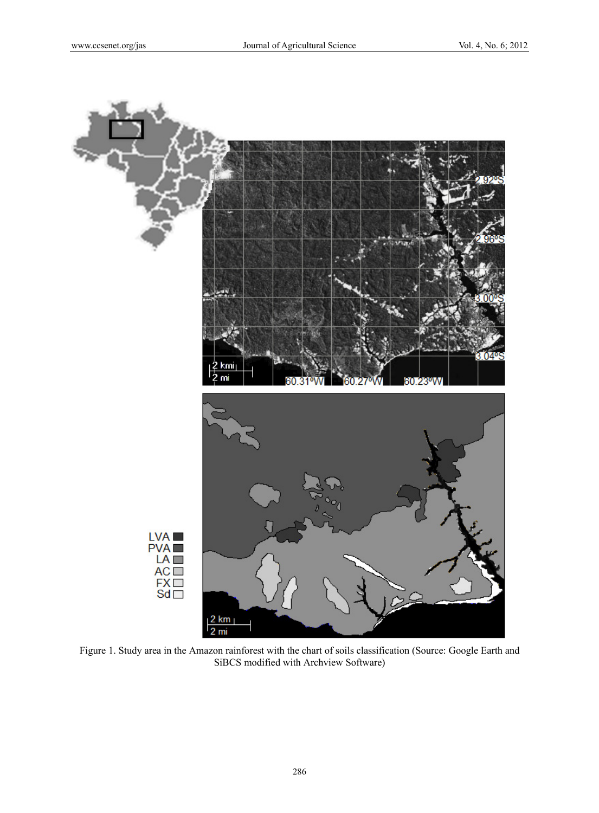

Figure 1. Study area in the Amazon rainforest with the chart of soils classification (Source: Google Earth and SiBCS modified with Archview Software)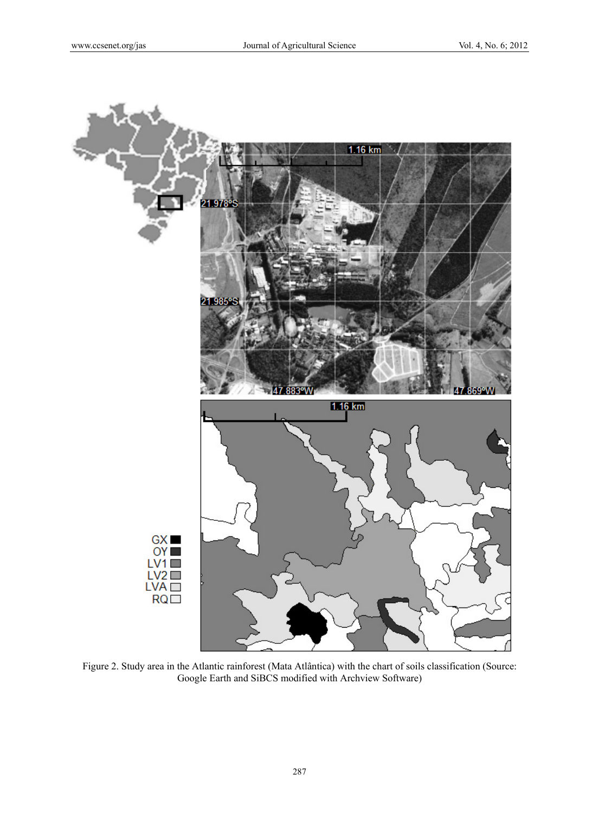

Figure 2. Study area in the Atlantic rainforest (Mata Atlântica) with the chart of soils classification (Source: Google Earth and SiBCS modified with Archview Software)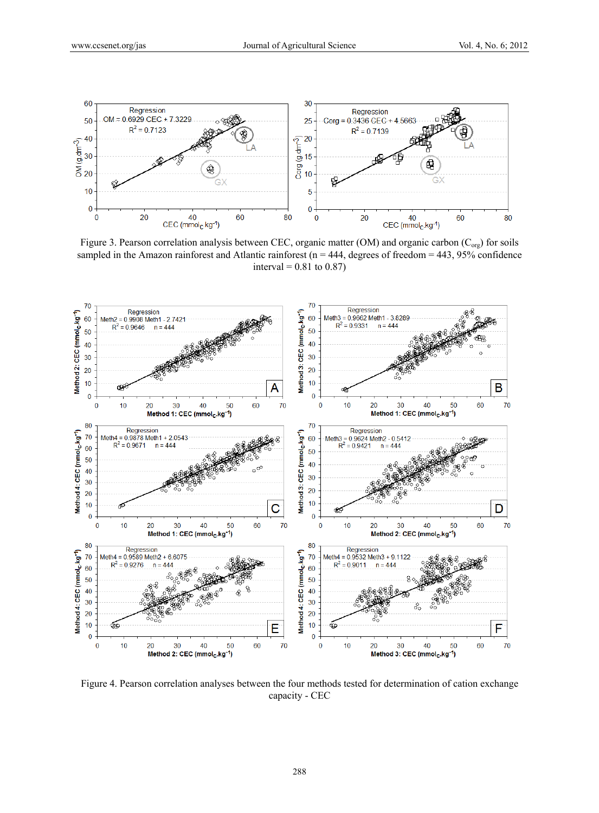

Figure 3. Pearson correlation analysis between CEC, organic matter (OM) and organic carbon ( $C_{\text{org}}$ ) for soils sampled in the Amazon rainforest and Atlantic rainforest ( $n = 444$ , degrees of freedom = 443, 95% confidence interval =  $0.81$  to  $0.87$ )



Figure 4. Pearson correlation analyses between the four methods tested for determination of cation exchange capacity - CEC